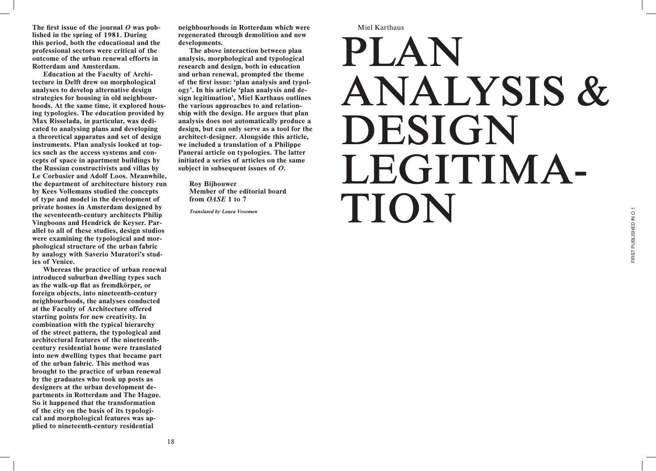**Miel Karthaus** 

## PLAN ANALYSIS & DESIGN LEGITIMA-TION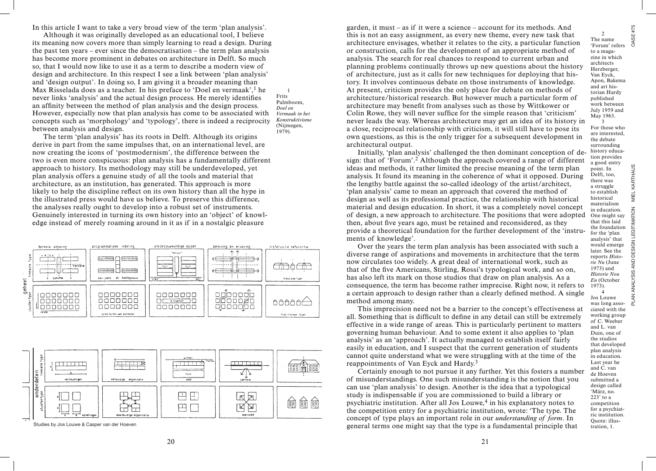In this article I want to take a very broad view of the term 'plan analysis'.

Although it was originally developed as an educational tool, I believe its meaning now covers more than simply learning to read a design. During the past ten years – ever since the democratisation – the term plan analysis has become more prominent in debates on architecture in Delft. So much so, that I would now like to use it as a term to describe a modern view of design and architecture. In this respect I see a link between 'plan analysis' and 'design output'. In doing so, I am giving it a broader meaning than Max Risselada does as a teacher. In his preface to 'Doel en vermaak', $<sup>1</sup>$  he</sup> never links 'analysis' and the actual design process. He merely identifies an affinity between the method of plan analysis and the design process. However, especially now that plan analysis has come to be associated with concepts such as 'morphology' and 'typology', there is indeed a reciprocity between analysis and design.

1 Frits Palmboom, *Doel en Vermaak in het Konstruktivisme* (Nijmegen, 1979).

The term 'plan analysis' has its roots in Delft. Although its origins derive in part from the same impulses that, on an international level, are now creating the icons of 'postmodernism', the difference between the two is even more conspicuous: plan analysis has a fundamentally different approach to history. Its methodology may still be underdeveloped, yet plan analysis offers a genuine study of all the tools and material that architecture, as an institution, has generated. This approach is more likely to help the discipline reflect on its own history than all the hype in the illustrated press would have us believe. To preserve this difference, the analyses really ought to develop into a robust set of instruments. Genuinely interested in turning its own history into an 'object' of knowledge instead of merely roaming around in it as if in a nostalgic pleasure





garden, it must – as if it were a science – account for its methods. And this is not an easy assignment, as every new theme, every new task that architecture envisages, whether it relates to the city, a particular function or construction, calls for the development of an appropriate method of analysis. The search for real chances to respond to current urban and planning problems continually throws up new questions about the history of architecture, just as it calls for new techniques for deploying that history. It involves continuous debate on those instruments of knowledge. At present, criticism provides the only place for debate on methods of architecture/historical research. But however much a particular form of architecture may benefit from analyses such as those by Wittkower or Colin Rowe, they will never suffice for the simple reason that 'criticism' never leads the way. Whereas architecture may get an idea of its history in a close, reciprocal relationship with criticism, it will still have to pose its own questions, as this is the only trigger for a subsequent development in architectural output.

Initially, 'plan analysis' challenged the then dominant conception of design: that of 'Forum'.2 Although the approach covered a range of different ideas and methods, it rather limited the precise meaning of the term plan analysis. It found its meaning in the coherence of what it opposed. During the lengthy battle against the so-called ideology of the artist/architect, 'plan analysis' came to mean an approach that covered the method of design as well as its professional practice, the relationship with historical material and design education. In short, it was a completely novel concept of design, a new approach to architecture. The positions that were adopted then, about five years ago, must be retained and reconsidered, as they provide a theoretical foundation for the further development of the 'instruments of knowledge'.

Over the years the term plan analysis has been associated with such a diverse range of aspirations and movements in architecture that the term now circulates too widely. A great deal of international work, such as that of the five Americans, Stirling, Rossi's typological work, and so on, has also left its mark on those studios that draw on plan analysis. As a consequence, the term has become rather imprecise. Right now, it refers to a certain approach to design rather than a clearly defined method. A single method among many.

This imprecision need not be a barrier to the concept's effectiveness at all. Something that is difficult to define in any detail can still be extremely effective in a wide range of areas. This is particularly pertinent to matters governing human behaviour. And to some extent it also applies to 'plan analysis' as an 'approach'. It actually managed to establish itself fairly easily in education, and I suspect that the current generation of students cannot quite understand what we were struggling with at the time of the reappointments of Van Eyck and Hardy.<sup>3</sup>

Certainly enough to not pursue it any further. Yet this fosters a number of misunderstandings. One such misunderstanding is the notion that you can use 'plan analysis' to design. Another is the idea that a typological study is indispensable if you are commissioned to build a library or psychiatric institution. After all Jos Louwe, $4$  in his explanatory notes to the competition entry for a psychiatric institution, wrote: 'The type. The concept of type plays an important role in our *understanding of form*. In Studies by Jos Louwe & Casper van der Hoeven **that the type is a fundamental principle that** tration, 1.

2 The name 'Forum' refers to a magazine in which architects Herzberger, Van Eyck, Apon, Bakema and art historian Hardy published work between July 1959 and May 1963. 3

#75 OASE

PLAN ANALYSIS AND DESIGN LEGITIMATION MIEL KARTHAUS OASE #75 For those who are interested, the debate surrounding history education provides a good entry MIEL KARTHAUS point. In Delft, too, there was a struggle to establish historical materialism PLAN ANALYSIS AND DESIGN LEGITIMATION in education. One might say that this laid the foundation for the 'plan analysis' that would emerge later. See the reports *Historie Nu* (June 1973) and *Historie Nou En* (October 1973). 4 Jos Louwe

was long associated with the working group of C. Weeber and L. van Duin, one of the studios that developed plan analysis in education. Last year he and C. van de Hoeven submitted a design called 'März, no. 223' to a competition for a psychiatric institution. Quote: illus-

21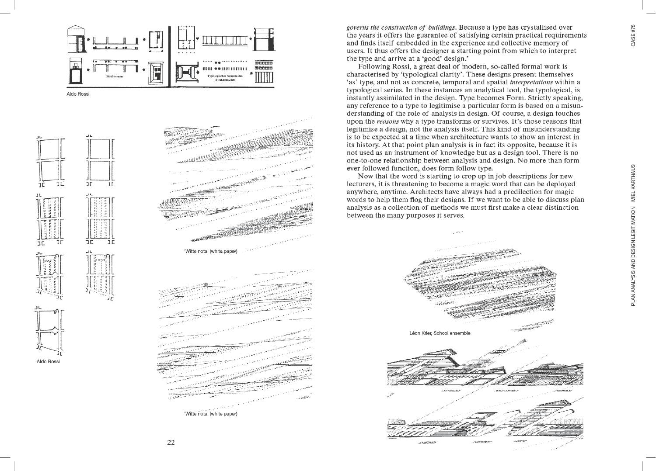

Aldo Rossi







governs the construction of buildings. Because a type has crystallised over the years it offers the guarantee of satisfying certain practical requirements and finds itself embedded in the experience and collective memory of users. It thus offers the designer a starting point from which to interpret the type and arrive at a 'good' design.'

Following Rossi, a great deal of modern, so-called formal work is characterised by 'typological clarity'. These designs present themselves 'as' type, and not as concrete, temporal and spatial *interpretations* within a typological series. In these instances an analytical tool, the typological, is instantly assimilated in the design. Type becomes Form. Strictly speaking, any reference to a type to legitimise a particular form is based on a misunderstanding of the role of analysis in design. Of course, a design touches upon the reasons why a type transforms or survives. It's those reasons that legitimise a design, not the analysis itself. This kind of misunderstanding is to be expected at a time when architecture wants to show an interest in its history. At that point plan analysis is in fact its opposite, because it is not used as an instrument of knowledge but as a design tool. There is no one-to-one relationship between analysis and design. No more than form ever followed function, does form follow type.

Now that the word is starting to crop up in job descriptions for new lecturers, it is threatening to become a magic word that can be deploved anywhere, anytime. Architects have always had a predilection for magic words to help them flog their designs. If we want to be able to discuss plan analysis as a collection of methods we must first make a clear distinction between the many purposes it serves.



**OASE #75** 

22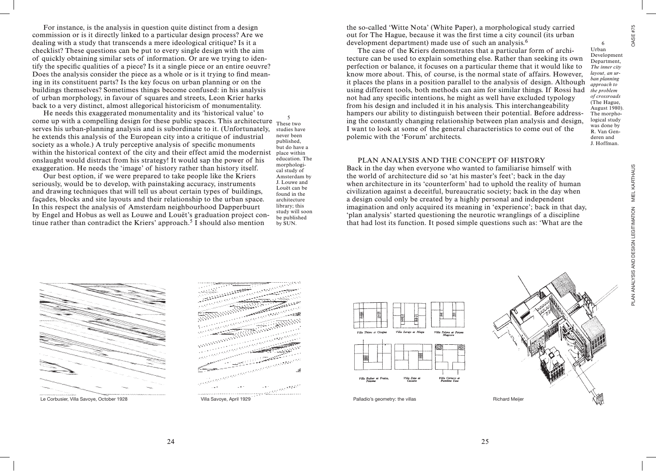6

PLAN ANALYSIS AND DESIGN LEGITIMATION MIEL KARTHAUS OASE #75 *approach to the problem of crossroads* (The Hague, August 1980). The morphological study was done by R. Van Genderen and J. Hoffman. PLAN ANALYSIS AND DESIGN LEGITIMATION MIEL KARTHAUS

For instance, is the analysis in question quite distinct from a design commission or is it directly linked to a particular design process? Are we dealing with a study that transcends a mere ideological critique? Is it a checklist? These questions can be put to every single design with the aim of quickly obtaining similar sets of information. Or are we trying to identify the specific qualities of a piece? Is it a single piece or an entire oeuvre? Does the analysis consider the piece as a whole or is it trying to find meaning in its constituent parts? Is the key focus on urban planning or on the buildings themselves? Sometimes things become confused: in his analysis of urban morphology, in favour of squares and streets, Leon Krier harks back to a very distinct, almost allegorical historicism of monumentality.

He needs this exaggerated monumentality and its 'historical value' to come up with a compelling design for these public spaces. This architecture  $\frac{5}{\text{These}}$ serves his urban-planning analysis and is subordinate to it. (Unfortunately, he extends this analysis of the European city into a critique of industrial society as a whole.) A truly perceptive analysis of specific monuments within the historical context of the city and their effect amid the modernist onslaught would distract from his strategy! It would sap the power of his exaggeration. He needs the 'image' of history rather than history itself.

Our best option, if we were prepared to take people like the Kriers seriously, would be to develop, with painstaking accuracy, instruments and drawing techniques that will tell us about certain types of buildings, façades, blocks and site layouts and their relationship to the urban space. In this respect the analysis of Amsterdam neighbourhood Dapperbuurt by Engel and Hobus as well as Louwe and Louët's graduation project continue rather than contradict the Kriers' approach.<sup>5</sup> I should also mention

These two studies have never been published, but do have a place within education. The morphological study of Amsterdam by J. Louwe and Louët can be found in the architecture library; this study will soon be published by SUN.

the so-called 'Witte Nota' (White Paper), a morphological study carried out for The Hague, because it was the first time a city council (its urban development department) made use of such an analysis.6

The case of the Kriers demonstrates that a particular form of architecture can be used to explain something else. Rather than seeking its own perfection or balance, it focuses on a particular theme that it would like to know more about. This, of course, is the normal state of affairs. However, it places the plans in a position parallel to the analysis of design. Although using different tools, both methods can aim for similar things. If Rossi had not had any specific intentions, he might as well have excluded typology from his design and included it in his analysis. This interchangeability hampers our ability to distinguish between their potential. Before addressing the constantly changing relationship between plan analysis and design, I want to look at some of the general characteristics to come out of the polemic with the 'Forum' architects. Urban Development Department, *The inner city layout, an urban planning* 

## PLAN ANALYSIS AND THE CONCEPT OF HISTORY

Back in the day when everyone who wanted to familiarise himself with the world of architecture did so 'at his master's feet'; back in the day when architecture in its 'counterform' had to uphold the reality of human civilization against a deceitful, bureaucratic society; back in the day when a design could only be created by a highly personal and independent imagination and only acquired its meaning in 'experience'; back in that day, 'plan analysis' started questioning the neurotic wranglings of a discipline that had lost its function. It posed simple questions such as: 'What are the









24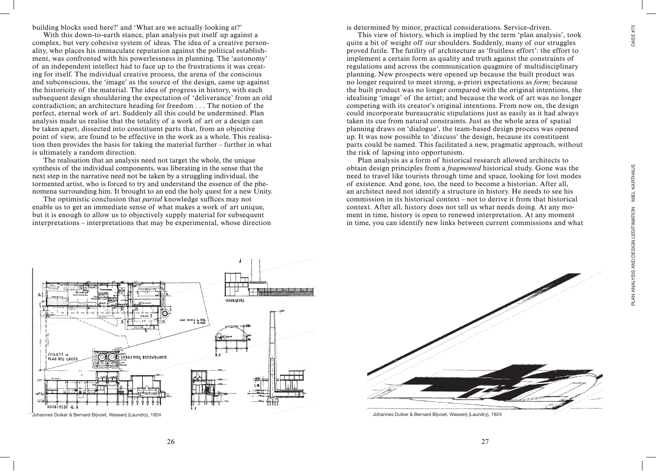building blocks used here?' and 'What are we actually looking at?'

With this down-to-earth stance, plan analysis put itself up against a complex, but very cohesive system of ideas. The idea of a creative personality, who places his immaculate reputation against the political establishment, was confronted with his powerlessness in planning. The 'autonomy' of an independent intellect had to face up to the frustrations it was creating for itself. The individual creative process, the arena of the conscious and subconscious, the 'image' as the source of the design, came up against the historicity of the material. The idea of progress in history, with each subsequent design shouldering the expectation of 'deliverance' from an old contradiction; an architecture heading for freedom . . . The notion of the perfect, eternal work of art. Suddenly all this could be undermined. Plan analysis made us realise that the totality of a work of art or a design can be taken apart, dissected into constituent parts that, from an objective point of view, are found to be effective in the work as a whole. This realisation then provides the basis for taking the material further – further in what is ultimately a random direction.

The realisation that an analysis need not target the whole, the unique synthesis of the individual components, was liberating in the sense that the next step in the narrative need not be taken by a struggling individual, the tormented artist, who is forced to try and understand the essence of the phenomena surrounding him. It brought to an end the holy quest for a new Unity.

The optimistic conclusion that *partial* knowledge suffices may not enable us to get an immediate sense of what makes a work of art unique, but it is enough to allow us to objectively supply material for subsequent interpretations – interpretations that may be experimental, whose direction is determined by minor, practical considerations. Service-driven.

This view of history, which is implied by the term 'plan analysis', took quite a bit of weight off our shoulders. Suddenly, many of our struggles proved futile. The futility of architecture as 'fruitless effort': the effort to implement a certain form as quality and truth against the constraints of regulations and across the communication quagmire of multidisciplinary planning. New prospects were opened up because the built product was no longer required to meet strong, a-priori expectations as *form*; because the built product was no longer compared with the original intentions, the idealising 'image' of the artist; and because the work of art was no longer competing with its creator's original intentions. From now on, the design could incorporate bureaucratic stipulations just as easily as it had always taken its cue from natural constraints. Just as the whole area of spatial planning draws on 'dialogue', the team-based design process was opened up. It was now possible to 'discuss' the design, because its constituent parts could be named. This facilitated a new, pragmatic approach, without the risk of lapsing into opportunism.

Plan analysis as a form of historical research allowed architects to obtain design principles from a *fragmented* historical study. Gone was the need to travel like tourists through time and space, looking for lost modes of existence. And gone, too, the need to become a historian. After all, an architect need not identify a structure in history. He needs to see his commission in its historical context – not to derive it from that historical context. After all, history does not tell us what needs doing. At any moment in time, history is open to renewed interpretation. At any moment in time, you can identify new links between current commissions and what





**OASE #75**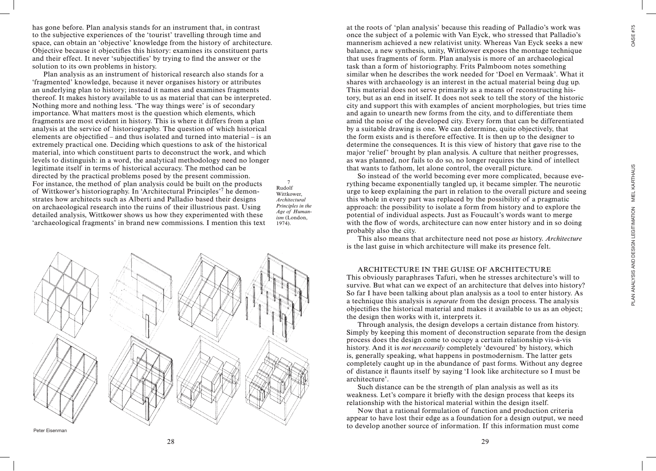**OASE #75** PLAN ANALYSIS AND DESIGN LEGITIMATION MIEL KARTHAUS OASE #75

PLAN ANALYSIS AND DESIGN LEGITIMATION MIEL KARTHAUS

has gone before. Plan analysis stands for an instrument that, in contrast to the subjective experiences of the 'tourist' travelling through time and space, can obtain an 'objective' knowledge from the history of architecture. Objective because it objectifies this history: examines its constituent parts and their effect. It never 'subjectifies' by trying to find the answer or the solution to its own problems in history.

Plan analysis as an instrument of historical research also stands for a 'fragmented' knowledge, because it never organises history or attributes an underlying plan to history; instead it names and examines fragments thereof. It makes history available to us as material that can be interpreted. Nothing more and nothing less. 'The way things were' is of secondary importance. What matters most is the question which elements, which fragments are most evident in history. This is where it differs from a plan analysis at the service of historiography. The question of which historical elements are objectified – and thus isolated and turned into material – is an extremely practical one. Deciding which questions to ask of the historical material, into which constituent parts to deconstruct the work, and which levels to distinguish: in a word, the analytical methodology need no longer legitimate itself in terms of historical accuracy. The method can be directed by the practical problems posed by the present commission. For instance, the method of plan analysis could be built on the products of Wittkower's historiography. In 'Architectural Principles'7 he demonstrates how architects such as Alberti and Palladio based their designs on archaeological research into the ruins of their illustrious past. Using detailed analysis, Wittkower shows us how they experimented with these 'archaeological fragments' in brand new commissions. I mention this text

Rudolf Wittkower, *Architectural Principles in the Age of Humanism* (London, 1974).

7



at the roots of 'plan analysis' because this reading of Palladio's work was once the subject of a polemic with Van Eyck, who stressed that Palladio's mannerism achieved a new relativist unity. Whereas Van Eyck seeks a new balance, a new synthesis, unity, Wittkower exposes the montage technique that uses fragments of form. Plan analysis is more of an archaeological task than a form of historiography. Frits Palmboom notes something similar when he describes the work needed for 'Doel en Vermaak'. What it shares with archaeology is an interest in the actual material being dug up. This material does not serve primarily as a means of reconstructing history, but as an end in itself. It does not seek to tell the story of the historic city and support this with examples of ancient morphologies, but tries time and again to unearth new forms from the city, and to differentiate them amid the noise of the developed city. Every form that can be differentiated by a suitable drawing is one. We can determine, quite objectively, that the form exists and is therefore effective. It is then up to the designer to determine the consequences. It is this view of history that gave rise to the major 'relief' brought by plan analysis. A culture that neither progresses, as was planned, nor fails to do so, no longer requires the kind of intellect that wants to fathom, let alone control, the overall picture.

So instead of the world becoming ever more complicated, because everything became exponentially tangled up, it became simpler. The neurotic urge to keep explaining the part in relation to the overall picture and seeing this whole in every part was replaced by the possibility of a pragmatic approach: the possibility to isolate a form from history and to explore the potential of individual aspects. Just as Foucault's words want to merge with the flow of words, architecture can now enter history and in so doing probably also the city.

This also means that architecture need not pose *as* history. *Architecture* is the last guise in which architecture will make its presence felt.

## ARCHITECTURE IN THE GUISE OF ARCHITECTURE

This obviously paraphrases Tafuri, when he stresses architecture's will to survive. But what can we expect of an architecture that delves into history? So far I have been talking about plan analysis as a tool to enter history. As a technique this analysis is *separate* from the design process. The analysis objectifies the historical material and makes it available to us as an object; the design then works with it, interprets it.

Through analysis, the design develops a certain distance from history. Simply by keeping this moment of deconstruction separate from the design process does the design come to occupy a certain relationship vis-à-vis history. And it is *not necessarily* completely 'devoured' by history, which is, generally speaking, what happens in postmodernism. The latter gets completely caught up in the abundance of past forms. Without any degree of distance it flaunts itself by saying 'I look like architecture so I must be architecture'.

Such distance can be the strength of plan analysis as well as its weakness. Let's compare it briefly with the design process that keeps its relationship with the historical material within the design itself.

Now that a rational formulation of function and production criteria appear to have lost their edge as a foundation for a design output, we need to develop another source of information. If this information must come

Peter Eisenman